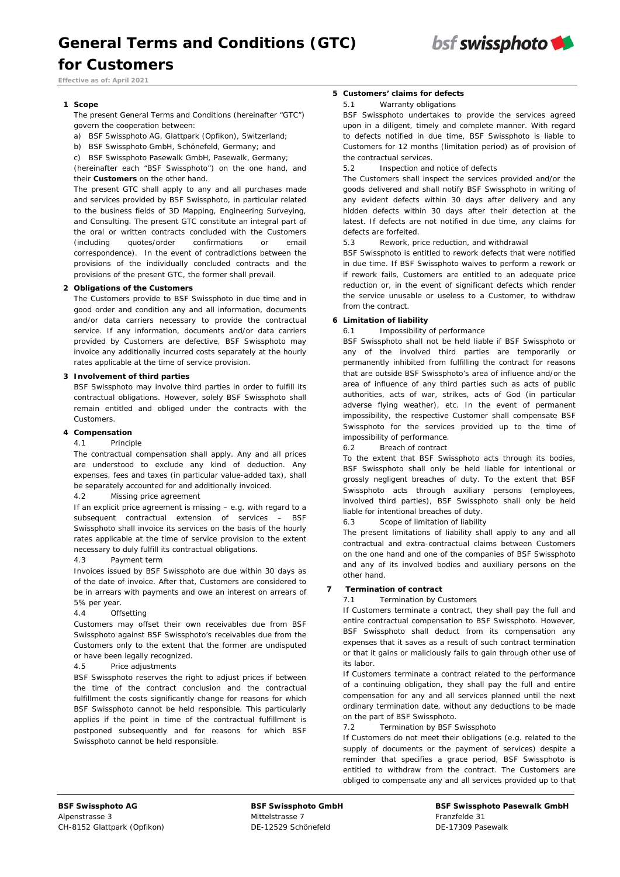

*Effective as of: April 2021* 

*for Customers*

## **1 Scope**

The present General Terms and Conditions (hereinafter "GTC") govern the cooperation between:

- a) BSF Swissphoto AG, Glattpark (Opfikon), Switzerland;
- b) BSF Swissphoto GmbH, Schönefeld, Germany; and
- c) BSF Swissphoto Pasewalk GmbH, Pasewalk, Germany;

(hereinafter each "BSF Swissphoto") on the one hand, and their **Customers** on the other hand.

The present GTC shall apply to any and all purchases made and services provided by BSF Swissphoto, in particular related to the business fields of 3D Mapping, Engineering Surveying, and Consulting. The present GTC constitute an integral part of the oral or written contracts concluded with the Customers (including quotes/order confirmations or correspondence). In the event of contradictions between the provisions of the individually concluded contracts and the provisions of the present GTC, the former shall prevail.

## **2 Obligations of the Customers**

The Customers provide to BSF Swissphoto in due time and in good order and condition any and all information, documents and/or data carriers necessary to provide the contractual service. If any information, documents and/or data carriers provided by Customers are defective, BSF Swissphoto may invoice any additionally incurred costs separately at the hourly rates applicable at the time of service provision.

## **3 Involvement of third parties**

BSF Swissphoto may involve third parties in order to fulfill its contractual obligations. However, solely BSF Swissphoto shall remain entitled and obliged under the contracts with the Customers.

## **4 Compensation**

#### 4.1 Principle

The contractual compensation shall apply. Any and all prices are understood to exclude any kind of deduction. Any expenses, fees and taxes (in particular value-added tax), shall be separately accounted for and additionally invoiced.

4.2 Missing price agreement

If an explicit price agreement is missing – e.g. with regard to a subsequent contractual extension of services – BSF Swissphoto shall invoice its services on the basis of the hourly rates applicable at the time of service provision to the extent necessary to duly fulfill its contractual obligations.

#### 4.3 Payment term

Invoices issued by BSF Swissphoto are due within 30 days as of the date of invoice. After that, Customers are considered to be in arrears with payments and owe an interest on arrears of 5% per year.

# 4.4 Offsetting

Customers may offset their own receivables due from BSF Swissphoto against BSF Swissphoto's receivables due from the Customers only to the extent that the former are undisputed or have been legally recognized.

## 4.5 Price adjustments

BSF Swissphoto reserves the right to adjust prices if between the time of the contract conclusion and the contractual fulfillment the costs significantly change for reasons for which BSF Swissphoto cannot be held responsible. This particularly applies if the point in time of the contractual fulfillment is postponed subsequently and for reasons for which BSF Swissphoto cannot be held responsible.

# **5 Customers' claims for defects**

#### 5.1 Warranty obligations

BSF Swissphoto undertakes to provide the services agreed upon in a diligent, timely and complete manner. With regard to defects notified in due time, BSF Swissphoto is liable to Customers for 12 months (limitation period) as of provision of the contractual services.

5.2 Inspection and notice of defects

The Customers shall inspect the services provided and/or the goods delivered and shall notify BSF Swissphoto in writing of any evident defects within 30 days after delivery and any hidden defects within 30 days after their detection at the latest. If defects are not notified in due time, any claims for defects are forfeited.

5.3 Rework, price reduction, and withdrawal

BSF Swissphoto is entitled to rework defects that were notified in due time. If BSF Swissphoto waives to perform a rework or if rework fails, Customers are entitled to an adequate price reduction or, in the event of significant defects which render the service unusable or useless to a Customer, to withdraw from the contract.

# **6 Limitation of liability**

6.1 Impossibility of performance

BSF Swissphoto shall not be held liable if BSF Swissphoto or any of the involved third parties are temporarily or permanently inhibited from fulfilling the contract for reasons that are outside BSF Swissphoto's area of influence and/or the area of influence of any third parties such as acts of public authorities, acts of war, strikes, acts of God (in particular adverse flying weather), etc. In the event of permanent impossibility, the respective Customer shall compensate BSF Swissphoto for the services provided up to the time of impossibility of performance.

6.2 Breach of contract

To the extent that BSF Swissphoto acts through its bodies, BSF Swissphoto shall only be held liable for intentional or grossly negligent breaches of duty. To the extent that BSF Swissphoto acts through auxiliary persons (employees, involved third parties), BSF Swissphoto shall only be held liable for intentional breaches of duty.

6.3 Scope of limitation of liability

The present limitations of liability shall apply to any and all contractual and extra-contractual claims between Customers on the one hand and one of the companies of BSF Swissphoto and any of its involved bodies and auxiliary persons on the other hand.

# **7 Termination of contract**

7.1 Termination by Customers

If Customers terminate a contract, they shall pay the full and entire contractual compensation to BSF Swissphoto. However, BSF Swissphoto shall deduct from its compensation any expenses that it saves as a result of such contract termination or that it gains or maliciously fails to gain through other use of its labor.

If Customers terminate a contract related to the performance of a continuing obligation, they shall pay the full and entire compensation for any and all services planned until the next ordinary termination date, without any deductions to be made on the part of BSF Swissphoto.

## 7.2 Termination by BSF Swissphoto

If Customers do not meet their obligations (e.g. related to the supply of documents or the payment of services) despite a reminder that specifies a grace period, BSF Swissphoto is entitled to withdraw from the contract. The Customers are obliged to compensate any and all services provided up to that